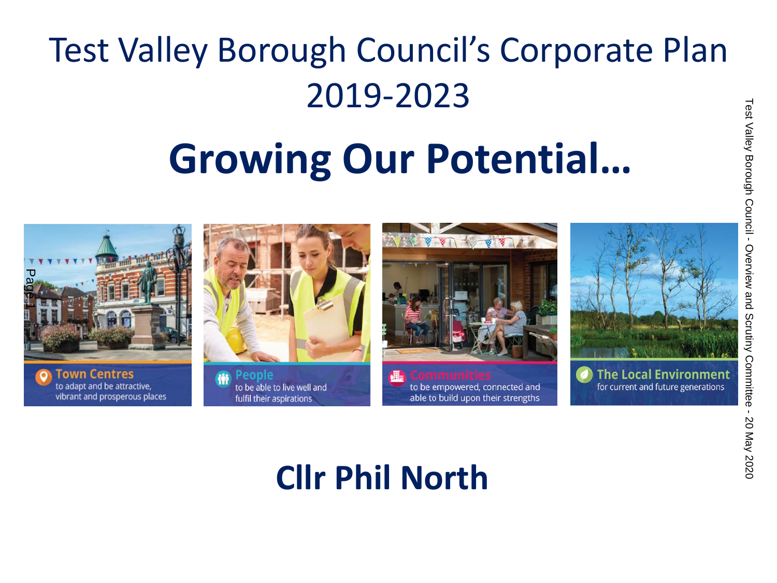## Test Valley Borough Council's Corporate Plan 2019-2023

## **Growing Our Potential…**





## **Cllr Phil North**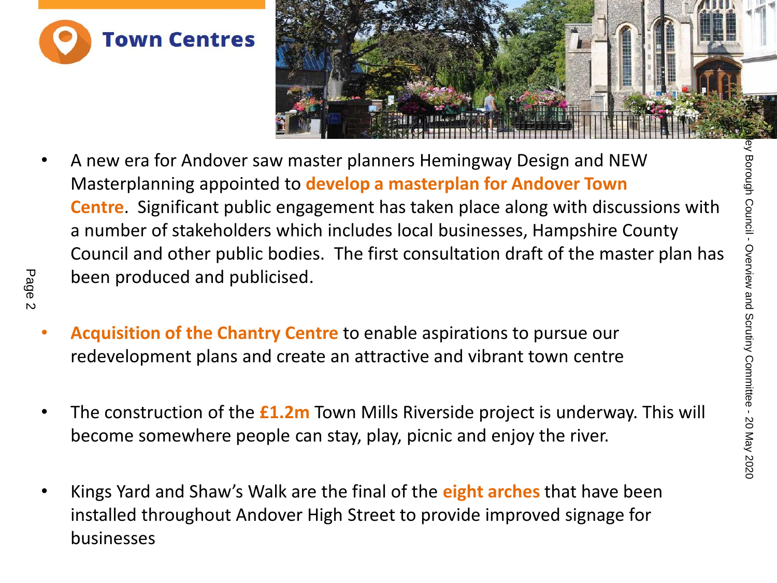



- A new era for Andover saw master planners Hemingway Design and NEW Masterplanning appointed to **develop a masterplan for Andover Town Centre**. Significant public engagement has taken place along with discussions with a number of stakeholders which includes local businesses, Hampshire County Council and other public bodies. The first consultation draft of the master plan has been produced and publicised. Test Valley Council and other saw master planners Hemingway Design and NEW<br>
Masterplanning appointed to develop a masterplan for Andover Town<br>
Centre. Significant public engagement has taken place along with discussions wi
	- **Acquisition of the Chantry Centre** to enable aspirations to pursue our redevelopment plans and create an attractive and vibrant town centre
	- The construction of the **£1.2m** Town Mills Riverside project is underway. This will become somewhere people can stay, play, picnic and enjoy the river.
	- Kings Yard and Shaw's Walk are the final of the **eight arches** that have been installed throughout Andover High Street to provide improved signage for businesses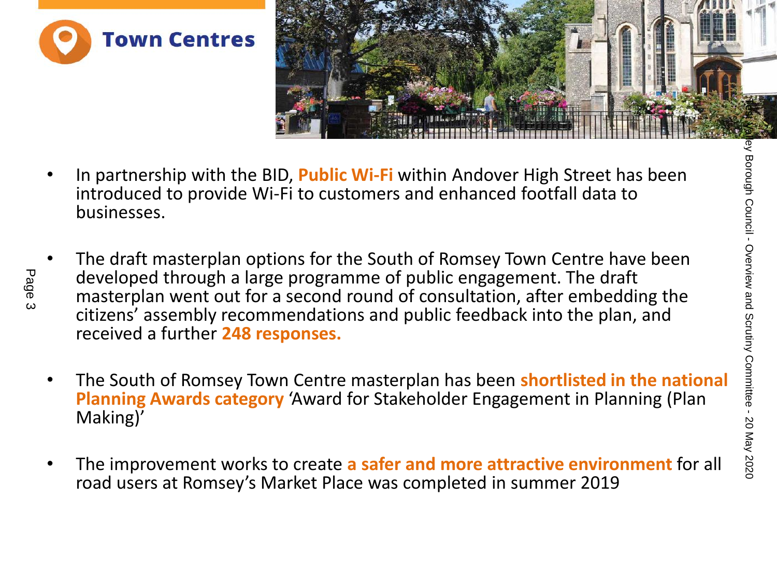



- In partnership with the BID, **Public Wi-Fi** within Andover High Street has been introduced to provide Wi-Fi to customers and enhanced footfall data to businesses.
- The draft masterplan options for the South of Romsey Town Centre have been developed through a large programme of public engagement. The draft masterplan went out for a second round of consultation, after embedding the citizens' assembly recommendations and public feedback into the plan, and received a further **248 responses.** The draft masterplan potions for the South of Romsey Town Centre have been<br>
and the Substitute of the South of Romsey Town Centre have been<br>
developed through a large programme of public engagement. The draft<br>
masterplan w
	- The South of Romsey Town Centre masterplan has been **shortlisted in the national Planning Awards category** 'Award for Stakeholder Engagement in Planning (Plan Making)'
	- The improvement works to create **a safer and more attractive environment** for all road users at Romsey's Market Place was completed in summer 2019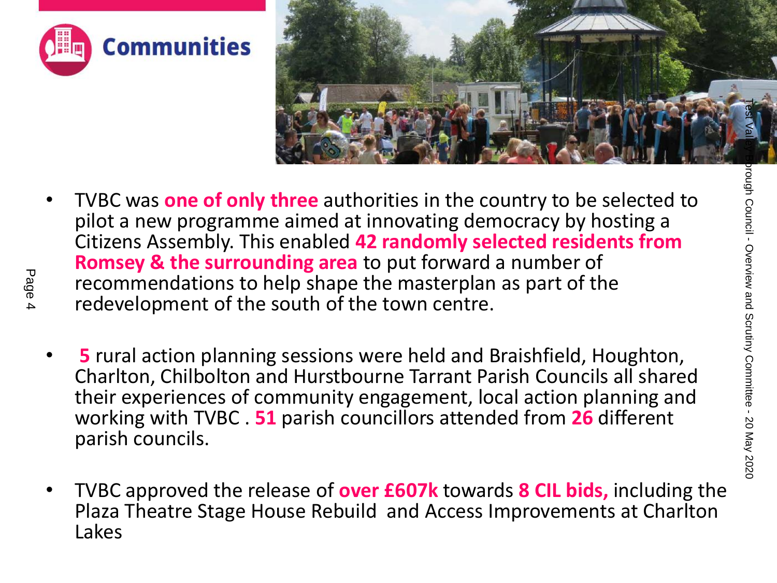



- TVBC was **one of only three** authorities in the country to be selected to pilot a new programme aimed at innovating democracy by hosting a Citizens Assembly. This enabled **42 randomly selected residents from Romsey & the surrounding area** to put forward a number of recommendations to help shape the masterplan as part of the redevelopment of the south of the town centre. TRIFT THE CREATE THE STATE OF THE REAL PROPERTIES ASSEMBLY. THE COUNCIL ARE SERVED ON THE COUNCIL OF THE COUNCIL COUNCIL COUNCIL AND CONTINUES ASSEMBLY. This enabled 42 randomly selected residents from **Romsey & the surrou** 
	- **5** rural action planning sessions were held and Braishfield, Houghton, Charlton, Chilbolton and Hurstbourne Tarrant Parish Councils all shared their experiences of community engagement, local action planning and working with TVBC . **51** parish councillors attended from **26** different parish councils.
	- TVBC approved the release of **over £607k** towards **8 CIL bids,** including the Plaza Theatre Stage House Rebuild and Access Improvements at Charlton Lakes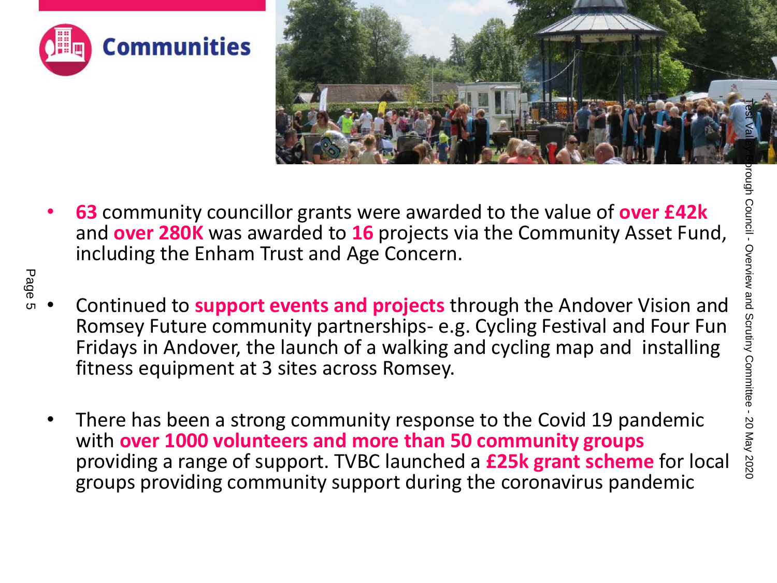



- **63** community councillor grants were awarded to the value of **over £42k** and **over 280K** was awarded to **16** projects via the Community Asset Fund, including the Enham Trust and Age Concern.
- Continued to **support events and projects** through the Andover Vision and Romsey Future community partnerships- e.g. Cycling Festival and Four Fun Fridays in Andover, the launch of a walking and cycling map and installing fitness equipment at 3 sites across Romsey. The Scrutify councillor grants were awarded to the value of over E42 and over 280K was awarded to 16 projects via the Community Asset Fund,<br>
and over 280K was awarded to 16 projects via the Community Asset Fund,<br>  $\frac{1}{8}$ 
	- There has been a strong community response to the Covid 19 pandemic with **over 1000 volunteers and more than 50 community groups** providing a range of support. TVBC launched a **£25k grant scheme** for local groups providing community support during the coronavirus pandemic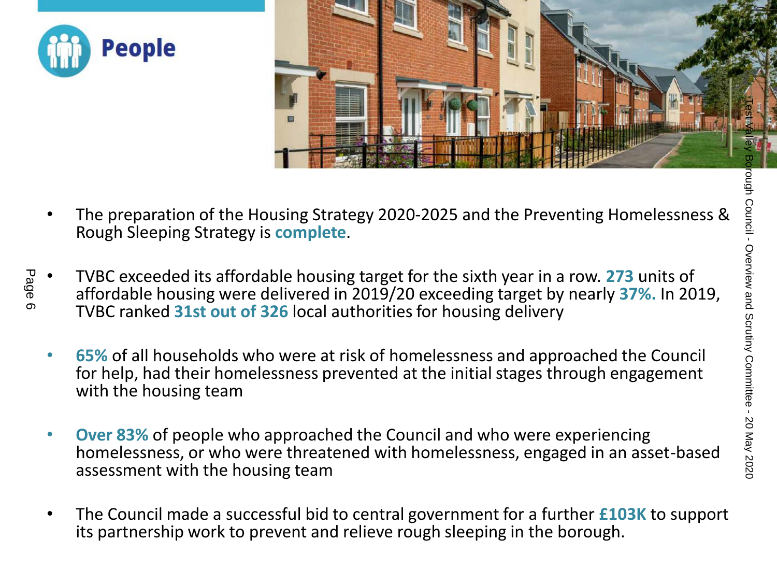



- The preparation of the Housing Strategy 2020-2025 and the Preventing Homelessness & Rough Sleeping Strategy is **complete**.
- TVBC exceeded its affordable housing target for the sixth year in a row. **273** units of affordable housing were delivered in 2019/20 exceeding target by nearly **37%.** In 2019, TVBC ranked **31st out of 326** local authorities for housing delivery The preparation of the Housing Strategy 2020-2025 and the Preventing Homelessness &<br>
Rough Sleeping Strategy is complete.<br>
TVBC exceeded its affordable housing target for the sixth year in a row. 273 units of<br>
affordable h
	- **65%** of all households who were at risk of homelessness and approached the Council for help, had their homelessness prevented at the initial stages through engagement with the housing team
	- **Over 83%** of people who approached the Council and who were experiencing homelessness, or who were threatened with homelessness, engaged in an asset-based assessment with the housing team
	- The Council made a successful bid to central government for a further **£103K** to support its partnership work to prevent and relieve rough sleeping in the borough.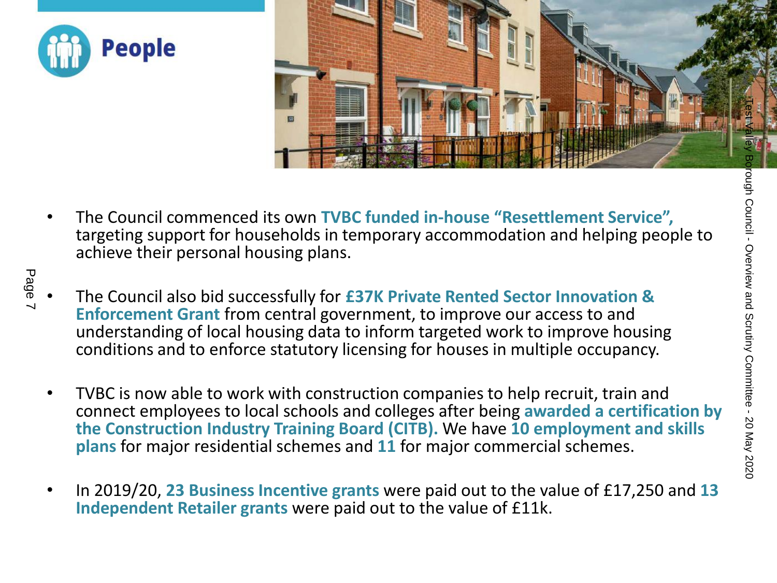



- The Council commenced its own **TVBC funded in-house "Resettlement Service",**  targeting support for households in temporary accommodation and helping people to achieve their personal housing plans.
- The Council also bid successfully for **£37K Private Rented Sector Innovation & Enforcement Grant** from central government, to improve our access to and understanding of local housing data to inform targeted work to improve housing conditions and to enforce statutory licensing for houses in multiple occupancy.
- TVBC is now able to work with construction companies to help recruit, train and connect employees to local schools and colleges after being **awarded a certification by the Construction Industry Training Board (CITB).** We have **10 employment and skills plans** for major residential schemes and **11** for major commercial schemes. The Council commenced its own TVBC funded in-house "Resettlement Service",<br>
achieve their personal housing plans.<br>
The Council also bid successfully for £37K Private Rented Sector Innovation &<br>
Enforcement Grant from centr
	- In 2019/20, **23 Business Incentive grants** were paid out to the value of £17,250 and **13 Independent Retailer grants** were paid out to the value of £11k.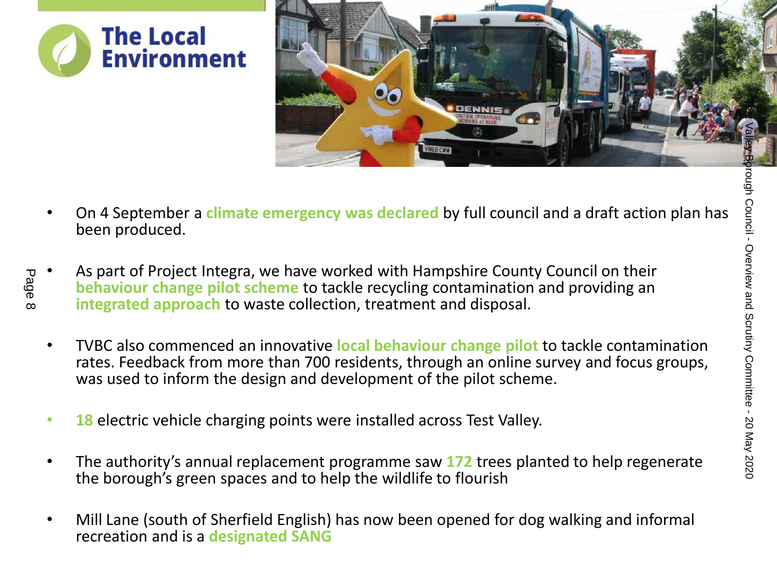



- On 4 September a **climate emergency was declared** by full council and a draft action plan has been produced.
- As part of Project Integra, we have worked with Hampshire County Council on their **behaviour change pilot scheme** to tackle recycling contamination and providing an **integrated approach** to waste collection, treatment and disposal.
- TVBC also commenced an innovative **local behaviour change pilot** to tackle contamination rates. Feedback from more than 700 residents, through an online survey and focus groups, was used to inform the design and development of the pilot scheme. The authority a multiple of the pilot to tackle council on their and september a climate emergency was declared by full council and a draft action plan has a set of project integrated approach to waste collection, treatmen
	- **18** electric vehicle charging points were installed across Test Valley.
	- The authority's annual replacement programme saw **172** trees planted to help regenerate the borough's green spaces and to help the wildlife to flourish
	- Mill Lane (south of Sherfield English) has now been opened for dog walking and informal recreation and is a **designated SANG**